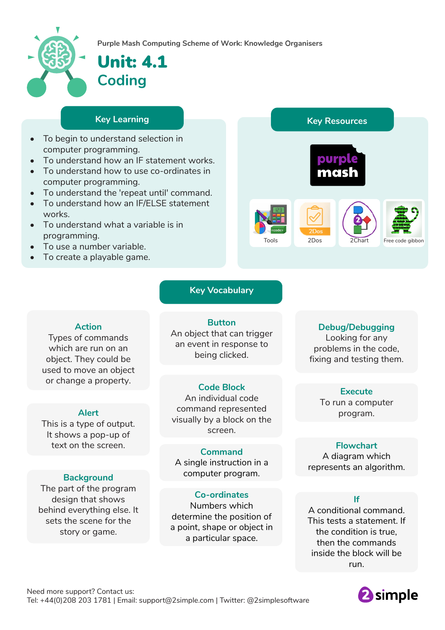

**Purple Mash Computing Scheme of Work: Knowledge** O**rganisers**

# Unit: 4.1 **Coding**

- To begin to understand selection in computer programming.
- To understand how an IF statement works.
- To understand how to use co-ordinates in computer programming.
- To understand the 'repeat until' command.
- To understand how an IF/ELSE statement works.
- To understand what a variable is in programming.
- To use a number variable.
- To create a playable game.



## **Key Vocabulary**

**Action**

Types of commands which are run on an object. They could be used to move an object or change a property.

#### **Alert**

This is a type of output. It shows a pop-up of text on the screen.

#### **Background**

The part of the program design that shows behind everything else. It sets the scene for the story or game.

**Button** An object that can trigger an event in response to being clicked.

#### **Code Block**

An individual code command represented visually by a block on the screen.

**Command** A single instruction in a computer program.

**Co-ordinates** Numbers which determine the position of a point, shape or object in a particular space.

### **Debug/Debugging**

Looking for any problems in the code, fixing and testing them.

#### **Execute**

To run a computer program.

### **Flowchart**

A diagram which represents an algorithm.

### **If**

A conditional command. This tests a statement. If the condition is true, then the commands inside the block will be run.

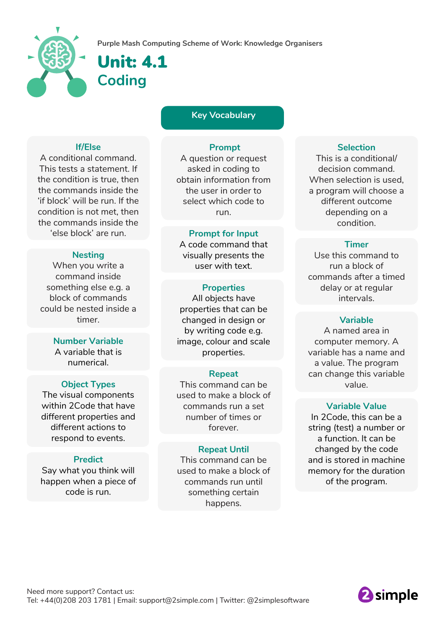



Unit: 4.1 **Coding**

**Key Vocabulary**

#### **If/Else**

A conditional command. This tests a statement. If the condition is true, then the commands inside the 'if block' will be run. If the condition is not met, then the commands inside the 'else block' are run.

#### **Nesting**

When you write a command inside something else e.g. a block of commands could be nested inside a timer.

#### **Number Variable**

A variable that is numerical.

#### **Object Types**

The visual components within 2Code that have different properties and different actions to respond to events.

#### **Predict**

Say what you think will happen when a piece of code is run.

#### **Prompt**

A question or request asked in coding to obtain information from the user in order to select which code to run.

#### **Prompt for Input**

A code command that visually presents the user with text.

#### **Properties**

All objects have properties that can be changed in design or by writing code e.g. image, colour and scale properties.

#### **Repeat**

This command can be used to make a block of commands run a set number of times or forever.

#### **Repeat Until**

This command can be used to make a block of commands run until something certain happens.

#### **Selection**

This is a conditional/ decision command. When selection is used, a program will choose a different outcome depending on a condition.

#### **Timer**

Use this command to run a block of commands after a timed delay or at regular intervals.

#### **Variable**

A named area in computer memory. A variable has a name and a value. The program can change this variable value.

#### **Variable Value**

In 2Code, this can be a string (test) a number or a function. It can be changed by the code and is stored in machine memory for the duration of the program.

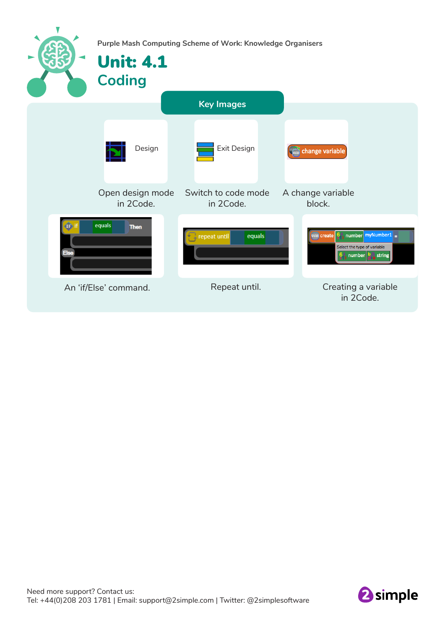